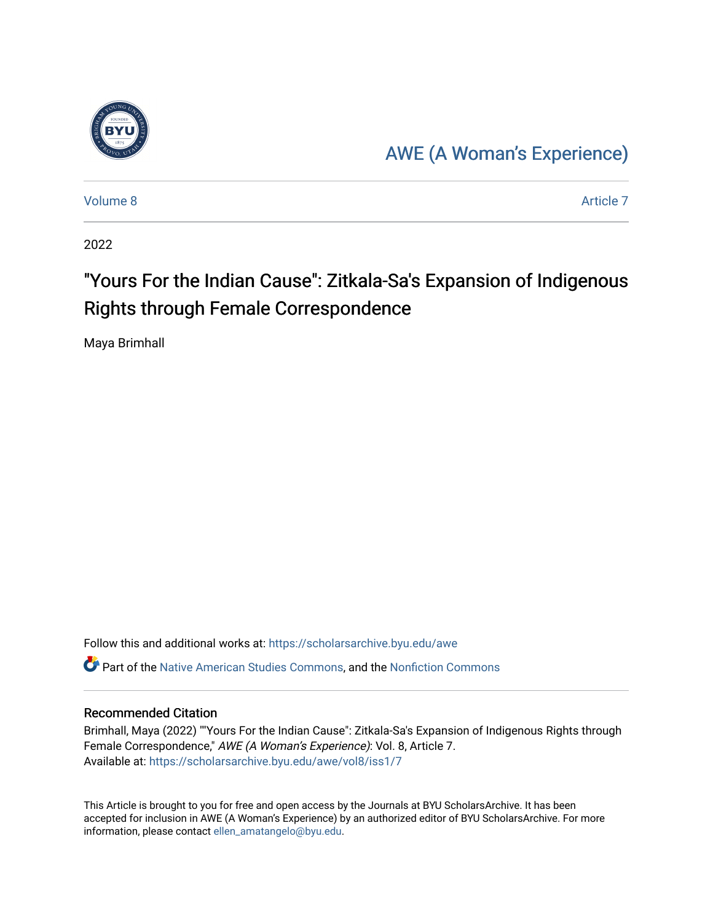

# [AWE \(A Woman's Experience\)](https://scholarsarchive.byu.edu/awe)

[Volume 8](https://scholarsarchive.byu.edu/awe/vol8) Article 7

2022

# "Yours For the Indian Cause": Zitkala-Sa's Expansion of Indigenous Rights through Female Correspondence

Maya Brimhall

Follow this and additional works at: [https://scholarsarchive.byu.edu/awe](https://scholarsarchive.byu.edu/awe?utm_source=scholarsarchive.byu.edu%2Fawe%2Fvol8%2Fiss1%2F7&utm_medium=PDF&utm_campaign=PDFCoverPages) Part of the [Native American Studies Commons,](https://network.bepress.com/hgg/discipline/1434?utm_source=scholarsarchive.byu.edu%2Fawe%2Fvol8%2Fiss1%2F7&utm_medium=PDF&utm_campaign=PDFCoverPages) and the [Nonfiction Commons](https://network.bepress.com/hgg/discipline/1152?utm_source=scholarsarchive.byu.edu%2Fawe%2Fvol8%2Fiss1%2F7&utm_medium=PDF&utm_campaign=PDFCoverPages) 

#### Recommended Citation

Brimhall, Maya (2022) ""Yours For the Indian Cause": Zitkala-Sa's Expansion of Indigenous Rights through Female Correspondence," AWE (A Woman's Experience): Vol. 8, Article 7. Available at: [https://scholarsarchive.byu.edu/awe/vol8/iss1/7](https://scholarsarchive.byu.edu/awe/vol8/iss1/7?utm_source=scholarsarchive.byu.edu%2Fawe%2Fvol8%2Fiss1%2F7&utm_medium=PDF&utm_campaign=PDFCoverPages)

This Article is brought to you for free and open access by the Journals at BYU ScholarsArchive. It has been accepted for inclusion in AWE (A Woman's Experience) by an authorized editor of BYU ScholarsArchive. For more information, please contact [ellen\\_amatangelo@byu.edu.](mailto:ellen_amatangelo@byu.edu)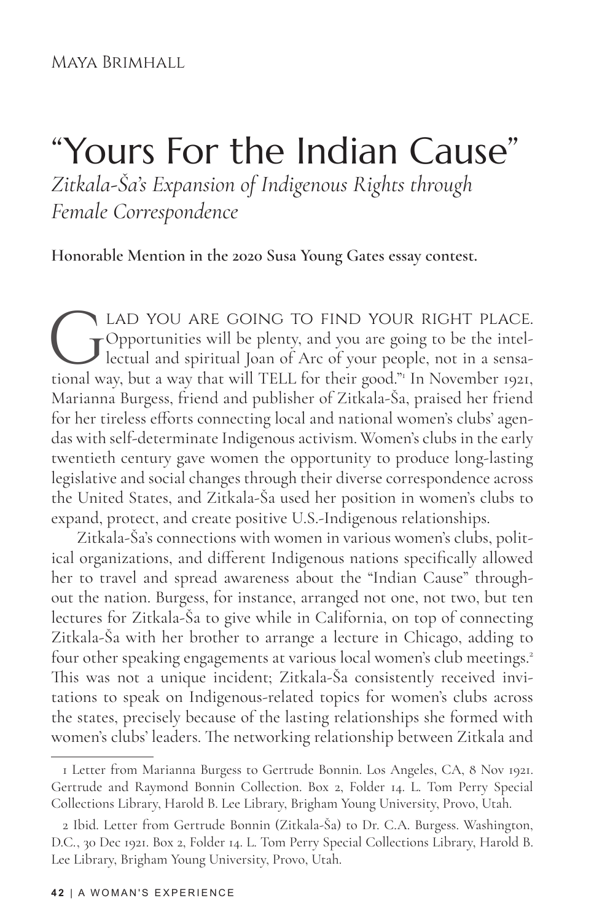#### Maya Brimhall

# "Yours For the Indian Cause" *Zitkala-Ša's Expansion of Indigenous Rights through Female Correspondence*

**Honorable Mention in the 2020 Susa Young Gates essay contest.**

LAD YOU ARE GOING TO FIND YOUR RIGHT PLACE.<br>Opportunities will be plenty, and you are going to be the intel-<br>lectual and spiritual Joan of Arc of your people, not in a sensa-<br>tional way, but a way that will TELL for their Opportunities will be plenty, and you are going to be the intellectual and spiritual Joan of Arc of your people, not in a sensational way, but a way that will TELL for their good."1 In November 1921, Marianna Burgess, friend and publisher of Zitkala-Ša, praised her friend for her tireless efforts connecting local and national women's clubs' agendas with self-determinate Indigenous activism. Women's clubs in the early twentieth century gave women the opportunity to produce long-lasting legislative and social changes through their diverse correspondence across the United States, and Zitkala-Ša used her position in women's clubs to expand, protect, and create positive U.S.-Indigenous relationships.

Zitkala-Ša's connections with women in various women's clubs, political organizations, and different Indigenous nations specifically allowed her to travel and spread awareness about the "Indian Cause" throughout the nation. Burgess, for instance, arranged not one, not two, but ten lectures for Zitkala-Ša to give while in California, on top of connecting Zitkala-Ša with her brother to arrange a lecture in Chicago, adding to four other speaking engagements at various local women's club meetings.<sup>2</sup> This was not a unique incident; Zitkala-Ša consistently received invitations to speak on Indigenous-related topics for women's clubs across the states, precisely because of the lasting relationships she formed with women's clubs' leaders. The networking relationship between Zitkala and

<sup>1</sup> Letter from Marianna Burgess to Gertrude Bonnin. Los Angeles, CA, 8 Nov 1921. Gertrude and Raymond Bonnin Collection. Box 2, Folder 14. L. Tom Perry Special Collections Library, Harold B. Lee Library, Brigham Young University, Provo, Utah.

<sup>2</sup> Ibid. Letter from Gertrude Bonnin (Zitkala-Ša) to Dr. C.A. Burgess. Washington, D.C., 30 Dec 1921. Box 2, Folder 14. L. Tom Perry Special Collections Library, Harold B. Lee Library, Brigham Young University, Provo, Utah.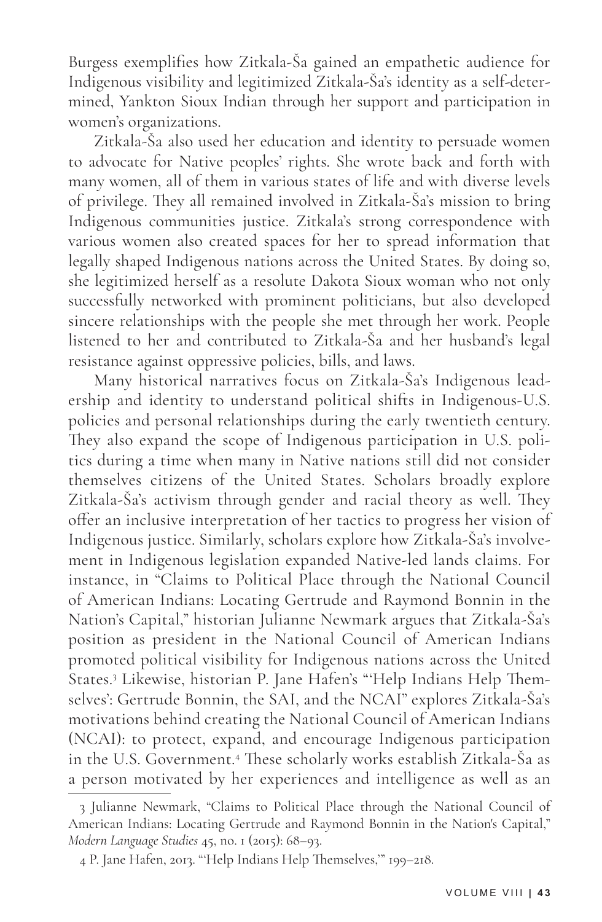Burgess exemplifies how Zitkala-Ša gained an empathetic audience for Indigenous visibility and legitimized Zitkala-Ša's identity as a self-determined, Yankton Sioux Indian through her support and participation in women's organizations.

Zitkala-Ša also used her education and identity to persuade women to advocate for Native peoples' rights. She wrote back and forth with many women, all of them in various states of life and with diverse levels of privilege. They all remained involved in Zitkala-Ša's mission to bring Indigenous communities justice. Zitkala's strong correspondence with various women also created spaces for her to spread information that legally shaped Indigenous nations across the United States. By doing so, she legitimized herself as a resolute Dakota Sioux woman who not only successfully networked with prominent politicians, but also developed sincere relationships with the people she met through her work. People listened to her and contributed to Zitkala-Ša and her husband's legal resistance against oppressive policies, bills, and laws.

Many historical narratives focus on Zitkala-Ša's Indigenous leadership and identity to understand political shifts in Indigenous-U.S. policies and personal relationships during the early twentieth century. They also expand the scope of Indigenous participation in U.S. politics during a time when many in Native nations still did not consider themselves citizens of the United States. Scholars broadly explore Zitkala-Ša's activism through gender and racial theory as well. They offer an inclusive interpretation of her tactics to progress her vision of Indigenous justice. Similarly, scholars explore how Zitkala-Ša's involvement in Indigenous legislation expanded Native-led lands claims. For instance, in "Claims to Political Place through the National Council of American Indians: Locating Gertrude and Raymond Bonnin in the Nation's Capital," historian Julianne Newmark argues that Zitkala-Ša's position as president in the National Council of American Indians promoted political visibility for Indigenous nations across the United States.3 Likewise, historian P. Jane Hafen's "'Help Indians Help Themselves': Gertrude Bonnin, the SAI, and the NCAI" explores Zitkala-Ša's motivations behind creating the National Council of American Indians (NCAI): to protect, expand, and encourage Indigenous participation in the U.S. Government.4 These scholarly works establish Zitkala-Ša as a person motivated by her experiences and intelligence as well as an

<sup>3</sup> Julianne Newmark, "Claims to Political Place through the National Council of American Indians: Locating Gertrude and Raymond Bonnin in the Nation's Capital," *Modern Language Studies* 45, no. 1 (2015): 68–93.

<sup>4</sup> P. Jane Hafen, 2013. "'Help Indians Help Themselves,'" 199–218.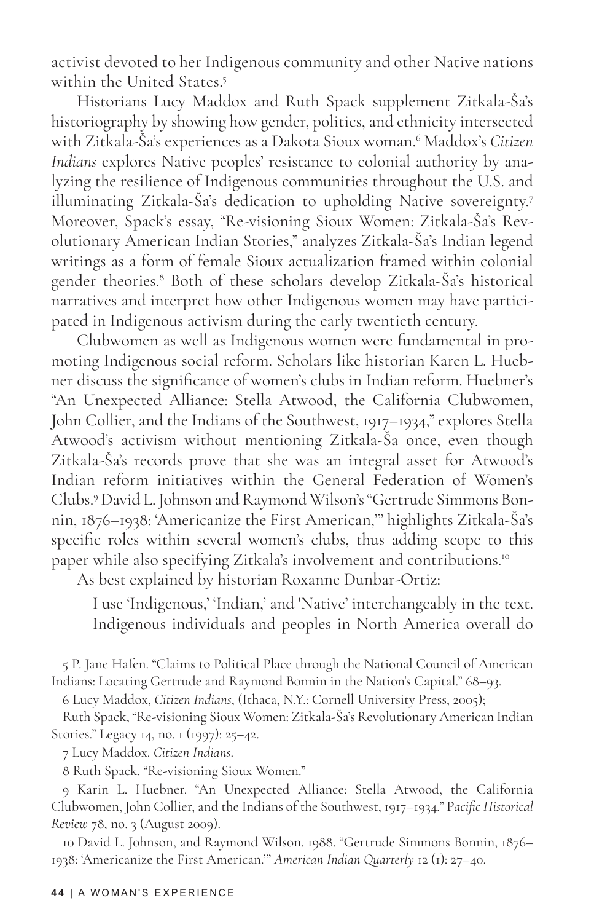activist devoted to her Indigenous community and other Native nations within the United States.5

Historians Lucy Maddox and Ruth Spack supplement Zitkala-Ša's historiography by showing how gender, politics, and ethnicity intersected with Zitkala-Ša's experiences as a Dakota Sioux woman.<sup>6</sup> Maddox's *Citizen Indians* explores Native peoples' resistance to colonial authority by analyzing the resilience of Indigenous communities throughout the U.S. and illuminating Zitkala-Ša's dedication to upholding Native sovereignty.<sup>7</sup> Moreover, Spack's essay, "Re-visioning Sioux Women: Zitkala-Ša's Revolutionary American Indian Stories," analyzes Zitkala-Ša's Indian legend writings as a form of female Sioux actualization framed within colonial gender theories.8 Both of these scholars develop Zitkala-Ša's historical narratives and interpret how other Indigenous women may have participated in Indigenous activism during the early twentieth century.

Clubwomen as well as Indigenous women were fundamental in promoting Indigenous social reform. Scholars like historian Karen L. Huebner discuss the significance of women's clubs in Indian reform. Huebner's "An Unexpected Alliance: Stella Atwood, the California Clubwomen, John Collier, and the Indians of the Southwest, 1917–1934," explores Stella Atwood's activism without mentioning Zitkala-Ša once, even though Zitkala-Ša's records prove that she was an integral asset for Atwood's Indian reform initiatives within the General Federation of Women's Clubs.9 David L. Johnson and Raymond Wilson's "Gertrude Simmons Bonnin, 1876–1938: 'Americanize the First American,'" highlights Zitkala-Ša's specific roles within several women's clubs, thus adding scope to this paper while also specifying Zitkala's involvement and contributions.<sup>10</sup>

As best explained by historian Roxanne Dunbar-Ortiz:

I use 'Indigenous,' 'Indian,' and 'Native' interchangeably in the text. Indigenous individuals and peoples in North America overall do

<sup>5</sup> P. Jane Hafen. "Claims to Political Place through the National Council of American Indians: Locating Gertrude and Raymond Bonnin in the Nation's Capital." 68–93.

<sup>6</sup> Lucy Maddox, *Citizen Indians*, (Ithaca, N.Y.: Cornell University Press, 2005);

Ruth Spack, "Re-visioning Sioux Women: Zitkala-Ša's Revolutionary American Indian Stories." Legacy 14, no. 1 (1997): 25–42.

<sup>7</sup> Lucy Maddox. *Citizen Indians*.

<sup>8</sup> Ruth Spack. "Re-visioning Sioux Women."

<sup>9</sup> Karin L. Huebner. "An Unexpected Alliance: Stella Atwood, the California Clubwomen, John Collier, and the Indians of the Southwest, 1917–1934." P*acific Historical Review* 78, no. 3 (August 2009).

<sup>10</sup> David L. Johnson, and Raymond Wilson. 1988. "Gertrude Simmons Bonnin, 1876– 1938: 'Americanize the First American.'" *American Indian Quarterly* 12 (1): 27–40.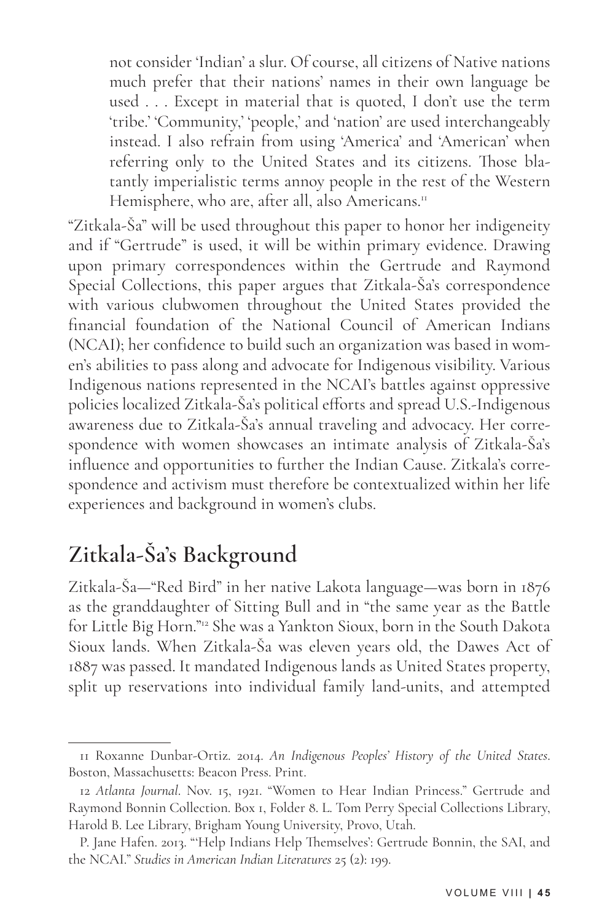not consider 'Indian' a slur. Of course, all citizens of Native nations much prefer that their nations' names in their own language be used . . . Except in material that is quoted, I don't use the term 'tribe.' 'Community,' 'people,' and 'nation' are used interchangeably instead. I also refrain from using 'America' and 'American' when referring only to the United States and its citizens. Those blatantly imperialistic terms annoy people in the rest of the Western Hemisphere, who are, after all, also Americans.<sup>11</sup>

"Zitkala-Ša" will be used throughout this paper to honor her indigeneity and if "Gertrude" is used, it will be within primary evidence. Drawing upon primary correspondences within the Gertrude and Raymond Special Collections, this paper argues that Zitkala-Ša's correspondence with various clubwomen throughout the United States provided the financial foundation of the National Council of American Indians (NCAI); her confidence to build such an organization was based in women's abilities to pass along and advocate for Indigenous visibility. Various Indigenous nations represented in the NCAI's battles against oppressive policies localized Zitkala-Ša's political efforts and spread U.S.-Indigenous awareness due to Zitkala-Ša's annual traveling and advocacy. Her correspondence with women showcases an intimate analysis of Zitkala-Ša's influence and opportunities to further the Indian Cause. Zitkala's correspondence and activism must therefore be contextualized within her life experiences and background in women's clubs.

# **Zitkala-Ša's Background**

Zitkala-Ša—"Red Bird" in her native Lakota language—was born in 1876 as the granddaughter of Sitting Bull and in "the same year as the Battle for Little Big Horn."12 She was a Yankton Sioux, born in the South Dakota Sioux lands. When Zitkala-Ša was eleven years old, the Dawes Act of 1887 was passed. It mandated Indigenous lands as United States property, split up reservations into individual family land-units, and attempted

<sup>11</sup> Roxanne Dunbar-Ortiz. 2014. *An Indigenous Peoples' History of the United States*. Boston, Massachusetts: Beacon Press. Print.

<sup>12</sup> *Atlanta Journal*. Nov. 15, 1921. "Women to Hear Indian Princess." Gertrude and Raymond Bonnin Collection. Box 1, Folder 8. L. Tom Perry Special Collections Library, Harold B. Lee Library, Brigham Young University, Provo, Utah.

P. Jane Hafen. 2013. "'Help Indians Help Themselves': Gertrude Bonnin, the SAI, and the NCAI." *Studies in American Indian Literatures* 25 (2): 199.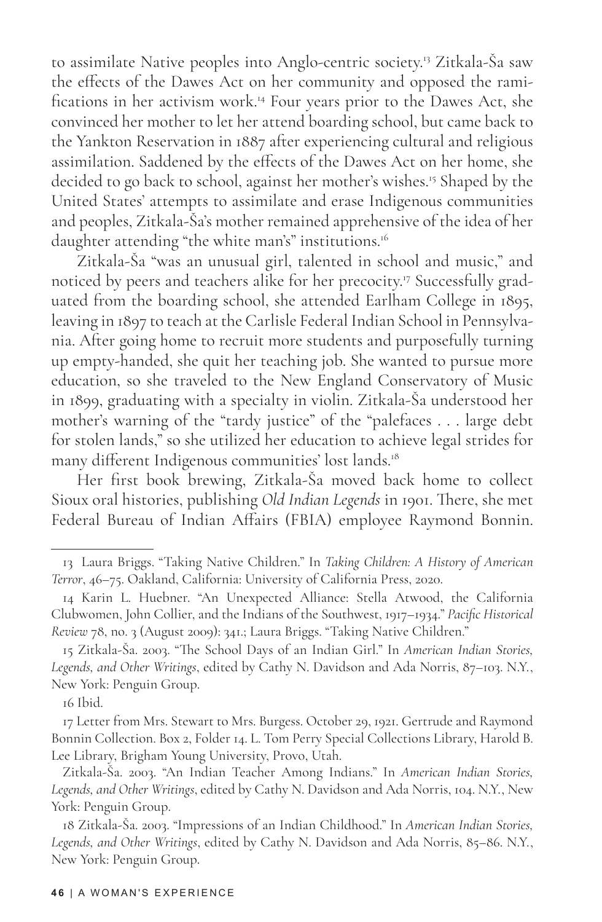to assimilate Native peoples into Anglo-centric society.<sup>13</sup> Zitkala-Ša saw the effects of the Dawes Act on her community and opposed the ramifications in her activism work.14 Four years prior to the Dawes Act, she convinced her mother to let her attend boarding school, but came back to the Yankton Reservation in 1887 after experiencing cultural and religious assimilation. Saddened by the effects of the Dawes Act on her home, she decided to go back to school, against her mother's wishes.15 Shaped by the United States' attempts to assimilate and erase Indigenous communities and peoples, Zitkala-Ša's mother remained apprehensive of the idea of her daughter attending "the white man's" institutions.<sup>16</sup>

Zitkala-Ša "was an unusual girl, talented in school and music," and noticed by peers and teachers alike for her precocity.17 Successfully graduated from the boarding school, she attended Earlham College in 1895, leaving in 1897 to teach at the Carlisle Federal Indian School in Pennsylvania. After going home to recruit more students and purposefully turning up empty-handed, she quit her teaching job. She wanted to pursue more education, so she traveled to the New England Conservatory of Music in 1899, graduating with a specialty in violin. Zitkala-Ša understood her mother's warning of the "tardy justice" of the "palefaces . . . large debt for stolen lands," so she utilized her education to achieve legal strides for many different Indigenous communities' lost lands.<sup>18</sup>

Her first book brewing, Zitkala-Ša moved back home to collect Sioux oral histories, publishing *Old Indian Legends* in 1901. There, she met Federal Bureau of Indian Affairs (FBIA) employee Raymond Bonnin.

16 Ibid.

<sup>13</sup> Laura Briggs. "Taking Native Children." In *Taking Children: A History of American Terror*, 46–75. Oakland, California: University of California Press, 2020.

<sup>14</sup> Karin L. Huebner. "An Unexpected Alliance: Stella Atwood, the California Clubwomen, John Collier, and the Indians of the Southwest, 1917–1934." *Pacific Historical Review* 78, no. 3 (August 2009): 341.; Laura Briggs. "Taking Native Children."

<sup>15</sup> Zitkala-Ša. 2003. "The School Days of an Indian Girl." In *American Indian Stories, Legends, and Other Writings*, edited by Cathy N. Davidson and Ada Norris, 87–103. N.Y., New York: Penguin Group.

<sup>17</sup> Letter from Mrs. Stewart to Mrs. Burgess. October 29, 1921. Gertrude and Raymond Bonnin Collection. Box 2, Folder 14. L. Tom Perry Special Collections Library, Harold B. Lee Library, Brigham Young University, Provo, Utah.

Zitkala-Ša. 2003. "An Indian Teacher Among Indians." In *American Indian Stories, Legends, and Other Writings*, edited by Cathy N. Davidson and Ada Norris, 104. N.Y., New York: Penguin Group.

<sup>18</sup> Zitkala-Ša. 2003. "Impressions of an Indian Childhood." In *American Indian Stories, Legends, and Other Writings*, edited by Cathy N. Davidson and Ada Norris, 85–86. N.Y., New York: Penguin Group.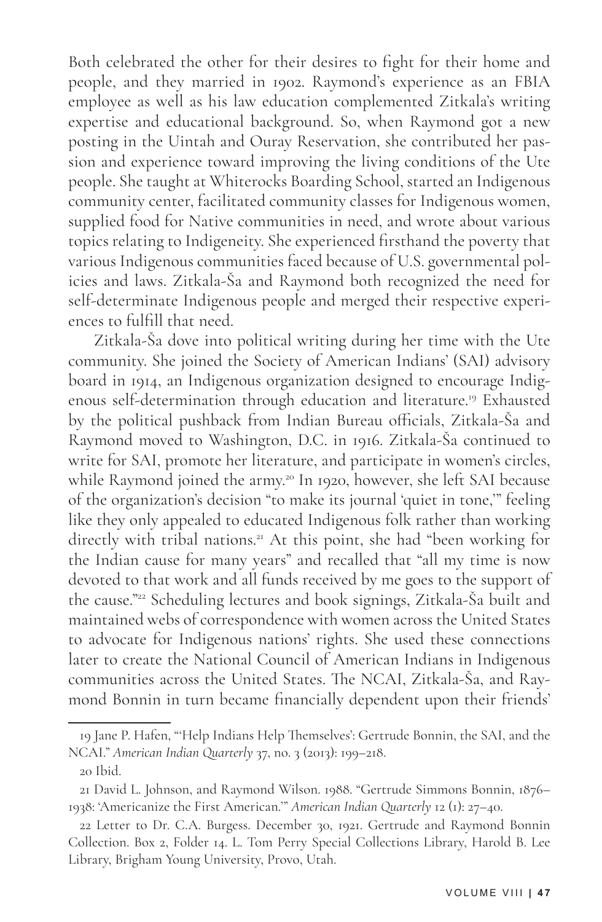Both celebrated the other for their desires to fight for their home and people, and they married in 1902. Raymond's experience as an FBIA employee as well as his law education complemented Zitkala's writing expertise and educational background. So, when Raymond got a new posting in the Uintah and Ouray Reservation, she contributed her passion and experience toward improving the living conditions of the Ute people. She taught at Whiterocks Boarding School, started an Indigenous community center, facilitated community classes for Indigenous women, supplied food for Native communities in need, and wrote about various topics relating to Indigeneity. She experienced firsthand the poverty that various Indigenous communities faced because of U.S. governmental policies and laws. Zitkala-Ša and Raymond both recognized the need for self-determinate Indigenous people and merged their respective experiences to fulfill that need.

Zitkala-Ša dove into political writing during her time with the Ute community. She joined the Society of American Indians' (SAI) advisory board in 1914, an Indigenous organization designed to encourage Indigenous self-determination through education and literature.19 Exhausted by the political pushback from Indian Bureau officials, Zitkala-Ša and Raymond moved to Washington, D.C. in 1916. Zitkala-Ša continued to write for SAI, promote her literature, and participate in women's circles, while Raymond joined the army.<sup>20</sup> In 1920, however, she left SAI because of the organization's decision "to make its journal 'quiet in tone,'" feeling like they only appealed to educated Indigenous folk rather than working directly with tribal nations.<sup>21</sup> At this point, she had "been working for the Indian cause for many years" and recalled that "all my time is now devoted to that work and all funds received by me goes to the support of the cause."22 Scheduling lectures and book signings, Zitkala-Ša built and maintained webs of correspondence with women across the United States to advocate for Indigenous nations' rights. She used these connections later to create the National Council of American Indians in Indigenous communities across the United States. The NCAI, Zitkala-Ša, and Raymond Bonnin in turn became financially dependent upon their friends'

<sup>19</sup> Jane P. Hafen, "'Help Indians Help Themselves': Gertrude Bonnin, the SAI, and the NCAI." *American Indian Quarterly* 37, no. 3 (2013): 199–218.

<sup>20</sup> Ibid.

<sup>21</sup> David L. Johnson, and Raymond Wilson. 1988. "Gertrude Simmons Bonnin, 1876– 1938: 'Americanize the First American.'" *American Indian Quarterly* 12 (1): 27–40.

<sup>22</sup> Letter to Dr. C.A. Burgess. December 30, 1921. Gertrude and Raymond Bonnin Collection. Box 2, Folder 14. L. Tom Perry Special Collections Library, Harold B. Lee Library, Brigham Young University, Provo, Utah.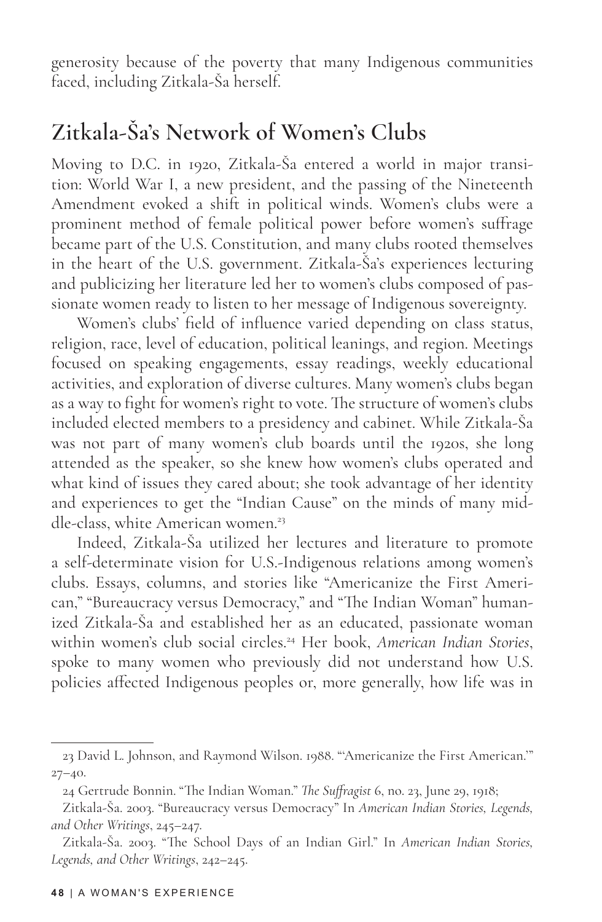generosity because of the poverty that many Indigenous communities faced, including Zitkala-Ša herself.

#### **Zitkala-Ša's Network of Women's Clubs**

Moving to D.C. in 1920, Zitkala-Ša entered a world in major transition: World War I, a new president, and the passing of the Nineteenth Amendment evoked a shift in political winds. Women's clubs were a prominent method of female political power before women's suffrage became part of the U.S. Constitution, and many clubs rooted themselves in the heart of the U.S. government. Zitkala-Ša's experiences lecturing and publicizing her literature led her to women's clubs composed of passionate women ready to listen to her message of Indigenous sovereignty.

Women's clubs' field of influence varied depending on class status, religion, race, level of education, political leanings, and region. Meetings focused on speaking engagements, essay readings, weekly educational activities, and exploration of diverse cultures. Many women's clubs began as a way to fight for women's right to vote. The structure of women's clubs included elected members to a presidency and cabinet. While Zitkala-Ša was not part of many women's club boards until the 1920s, she long attended as the speaker, so she knew how women's clubs operated and what kind of issues they cared about; she took advantage of her identity and experiences to get the "Indian Cause" on the minds of many middle-class, white American women.<sup>23</sup>

Indeed, Zitkala-Ša utilized her lectures and literature to promote a self-determinate vision for U.S.-Indigenous relations among women's clubs. Essays, columns, and stories like "Americanize the First American," "Bureaucracy versus Democracy," and "The Indian Woman" humanized Zitkala-Ša and established her as an educated, passionate woman within women's club social circles.24 Her book, *American Indian Stories*, spoke to many women who previously did not understand how U.S. policies affected Indigenous peoples or, more generally, how life was in

<sup>23</sup> David L. Johnson, and Raymond Wilson. 1988. "'Americanize the First American.'"  $27 - 40.$ 

<sup>24</sup> Gertrude Bonnin. "The Indian Woman." *The Suffragist* 6, no. 23, June 29, 1918;

Zitkala-Ša. 2003. "Bureaucracy versus Democracy" In *American Indian Stories, Legends, and Other Writings*, 245–247.

Zitkala-Ša. 2003. "The School Days of an Indian Girl." In *American Indian Stories, Legends, and Other Writings*, 242–245.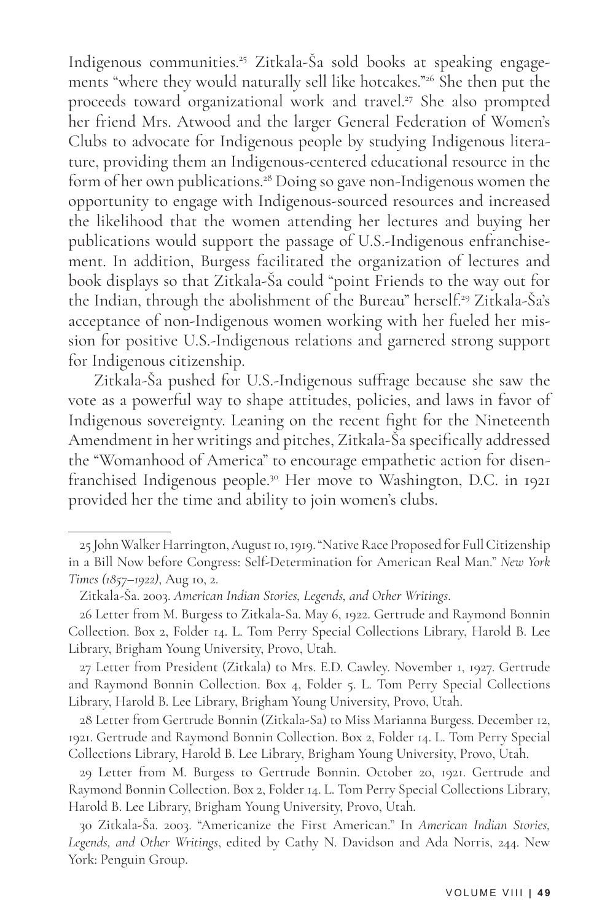Indigenous communities.25 Zitkala-Ša sold books at speaking engagements "where they would naturally sell like hotcakes."26 She then put the proceeds toward organizational work and travel.27 She also prompted her friend Mrs. Atwood and the larger General Federation of Women's Clubs to advocate for Indigenous people by studying Indigenous literature, providing them an Indigenous-centered educational resource in the form of her own publications.<sup>28</sup> Doing so gave non-Indigenous women the opportunity to engage with Indigenous-sourced resources and increased the likelihood that the women attending her lectures and buying her publications would support the passage of U.S.-Indigenous enfranchisement. In addition, Burgess facilitated the organization of lectures and book displays so that Zitkala-Ša could "point Friends to the way out for the Indian, through the abolishment of the Bureau" herself.<sup>29</sup> Zitkala-Ša's acceptance of non-Indigenous women working with her fueled her mission for positive U.S.-Indigenous relations and garnered strong support for Indigenous citizenship.

Zitkala-Ša pushed for U.S.-Indigenous suffrage because she saw the vote as a powerful way to shape attitudes, policies, and laws in favor of Indigenous sovereignty. Leaning on the recent fight for the Nineteenth Amendment in her writings and pitches, Zitkala-Ša specifically addressed the "Womanhood of America" to encourage empathetic action for disenfranchised Indigenous people.30 Her move to Washington, D.C. in 1921 provided her the time and ability to join women's clubs.

<sup>25</sup> John Walker Harrington, August 10, 1919. "Native Race Proposed for Full Citizenship in a Bill Now before Congress: Self-Determination for American Real Man." *New York Times (1857–1922)*, Aug 10, 2.

Zitkala-Ša. 2003. *American Indian Stories, Legends, and Other Writings*.

<sup>26</sup> Letter from M. Burgess to Zitkala-Sa. May 6, 1922. Gertrude and Raymond Bonnin Collection. Box 2, Folder 14. L. Tom Perry Special Collections Library, Harold B. Lee Library, Brigham Young University, Provo, Utah.

<sup>27</sup> Letter from President (Zitkala) to Mrs. E.D. Cawley. November 1, 1927. Gertrude and Raymond Bonnin Collection. Box 4, Folder 5. L. Tom Perry Special Collections Library, Harold B. Lee Library, Brigham Young University, Provo, Utah.

<sup>28</sup> Letter from Gertrude Bonnin (Zitkala-Sa) to Miss Marianna Burgess. December 12, 1921. Gertrude and Raymond Bonnin Collection. Box 2, Folder 14. L. Tom Perry Special Collections Library, Harold B. Lee Library, Brigham Young University, Provo, Utah.

<sup>29</sup> Letter from M. Burgess to Gertrude Bonnin. October 20, 1921. Gertrude and Raymond Bonnin Collection. Box 2, Folder 14. L. Tom Perry Special Collections Library, Harold B. Lee Library, Brigham Young University, Provo, Utah.

<sup>30</sup> Zitkala-Ša. 2003. "Americanize the First American." In *American Indian Stories, Legends, and Other Writings*, edited by Cathy N. Davidson and Ada Norris, 244. New York: Penguin Group.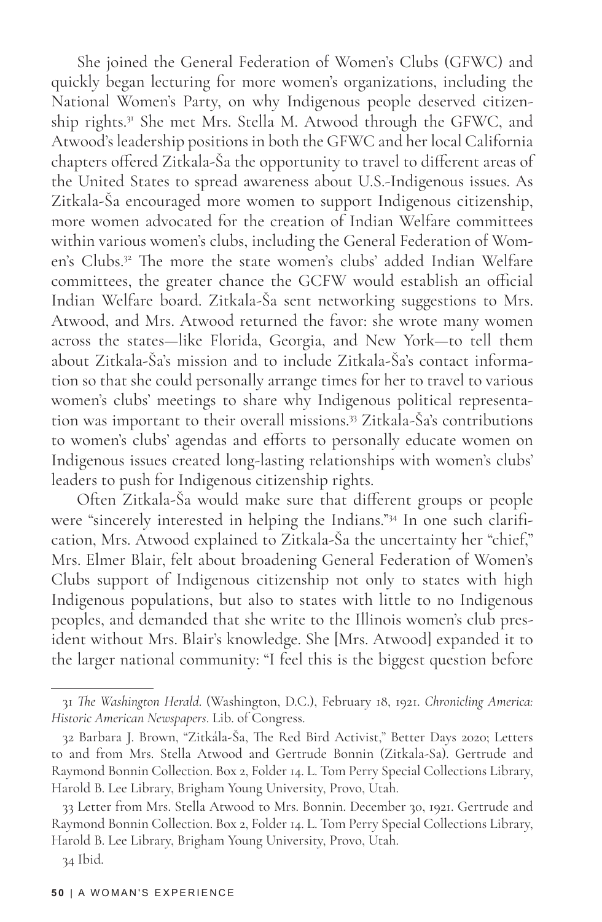She joined the General Federation of Women's Clubs (GFWC) and quickly began lecturing for more women's organizations, including the National Women's Party, on why Indigenous people deserved citizenship rights.<sup>31</sup> She met Mrs. Stella M. Atwood through the GFWC, and Atwood's leadership positions in both the GFWC and her local California chapters offered Zitkala-Ša the opportunity to travel to different areas of the United States to spread awareness about U.S.-Indigenous issues. As Zitkala-Ša encouraged more women to support Indigenous citizenship, more women advocated for the creation of Indian Welfare committees within various women's clubs, including the General Federation of Women's Clubs.<sup>32</sup> The more the state women's clubs' added Indian Welfare committees, the greater chance the GCFW would establish an official Indian Welfare board. Zitkala-Ša sent networking suggestions to Mrs. Atwood, and Mrs. Atwood returned the favor: she wrote many women across the states—like Florida, Georgia, and New York—to tell them about Zitkala-Ša's mission and to include Zitkala-Ša's contact information so that she could personally arrange times for her to travel to various women's clubs' meetings to share why Indigenous political representation was important to their overall missions.33 Zitkala-Ša's contributions to women's clubs' agendas and efforts to personally educate women on Indigenous issues created long-lasting relationships with women's clubs' leaders to push for Indigenous citizenship rights.

Often Zitkala-Ša would make sure that different groups or people were "sincerely interested in helping the Indians."34 In one such clarification, Mrs. Atwood explained to Zitkala-Ša the uncertainty her "chief," Mrs. Elmer Blair, felt about broadening General Federation of Women's Clubs support of Indigenous citizenship not only to states with high Indigenous populations, but also to states with little to no Indigenous peoples, and demanded that she write to the Illinois women's club president without Mrs. Blair's knowledge. She [Mrs. Atwood] expanded it to the larger national community: "I feel this is the biggest question before

<sup>31</sup> *The Washington Herald*. (Washington, D.C.), February 18, 1921. *Chronicling America: Historic American Newspapers*. Lib. of Congress.

<sup>32</sup> Barbara J. Brown, "Zitkála-Ša, The Red Bird Activist," Better Days 2020; Letters to and from Mrs. Stella Atwood and Gertrude Bonnin (Zitkala-Sa). Gertrude and Raymond Bonnin Collection. Box 2, Folder 14. L. Tom Perry Special Collections Library, Harold B. Lee Library, Brigham Young University, Provo, Utah.

<sup>33</sup> Letter from Mrs. Stella Atwood to Mrs. Bonnin. December 30, 1921. Gertrude and Raymond Bonnin Collection. Box 2, Folder 14. L. Tom Perry Special Collections Library, Harold B. Lee Library, Brigham Young University, Provo, Utah.

<sup>34</sup> Ibid.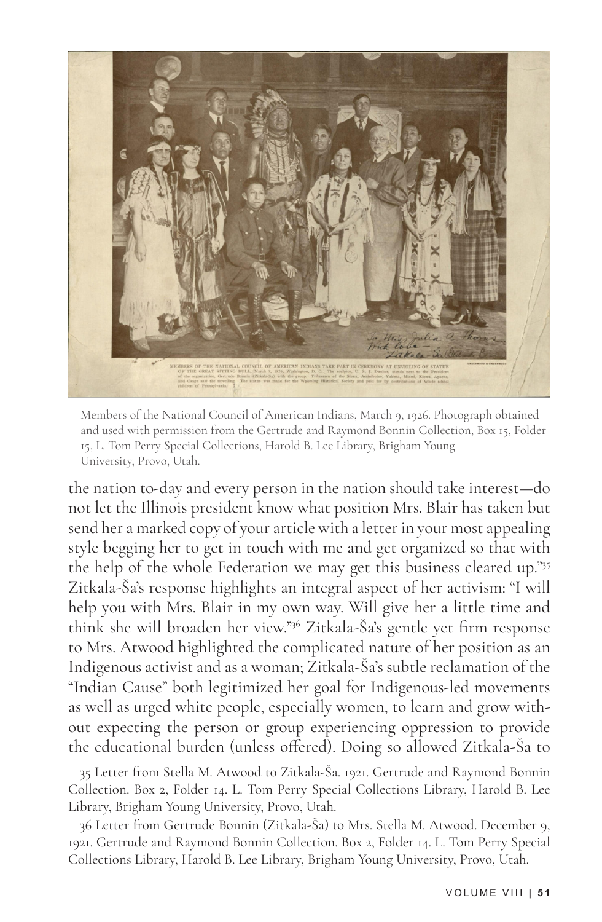

Members of the National Council of American Indians, March 9, 1926. Photograph obtained and used with permission from the Gertrude and Raymond Bonnin Collection, Box 15, Folder 15, L. Tom Perry Special Collections, Harold B. Lee Library, Brigham Young University, Provo, Utah.

the nation to-day and every person in the nation should take interest—do not let the Illinois president know what position Mrs. Blair has taken but send her a marked copy of your article with a letter in your most appealing style begging her to get in touch with me and get organized so that with the help of the whole Federation we may get this business cleared up."35 Zitkala-Ša's response highlights an integral aspect of her activism: "I will help you with Mrs. Blair in my own way. Will give her a little time and think she will broaden her view."36 Zitkala-Ša's gentle yet firm response to Mrs. Atwood highlighted the complicated nature of her position as an Indigenous activist and as a woman; Zitkala-Ša's subtle reclamation of the "Indian Cause" both legitimized her goal for Indigenous-led movements as well as urged white people, especially women, to learn and grow without expecting the person or group experiencing oppression to provide the educational burden (unless offered). Doing so allowed Zitkala-Ša to

<sup>35</sup> Letter from Stella M. Atwood to Zitkala-Ša. 1921. Gertrude and Raymond Bonnin Collection. Box 2, Folder 14. L. Tom Perry Special Collections Library, Harold B. Lee Library, Brigham Young University, Provo, Utah.

<sup>36</sup> Letter from Gertrude Bonnin (Zitkala-Ša) to Mrs. Stella M. Atwood. December 9, 1921. Gertrude and Raymond Bonnin Collection. Box 2, Folder 14. L. Tom Perry Special Collections Library, Harold B. Lee Library, Brigham Young University, Provo, Utah.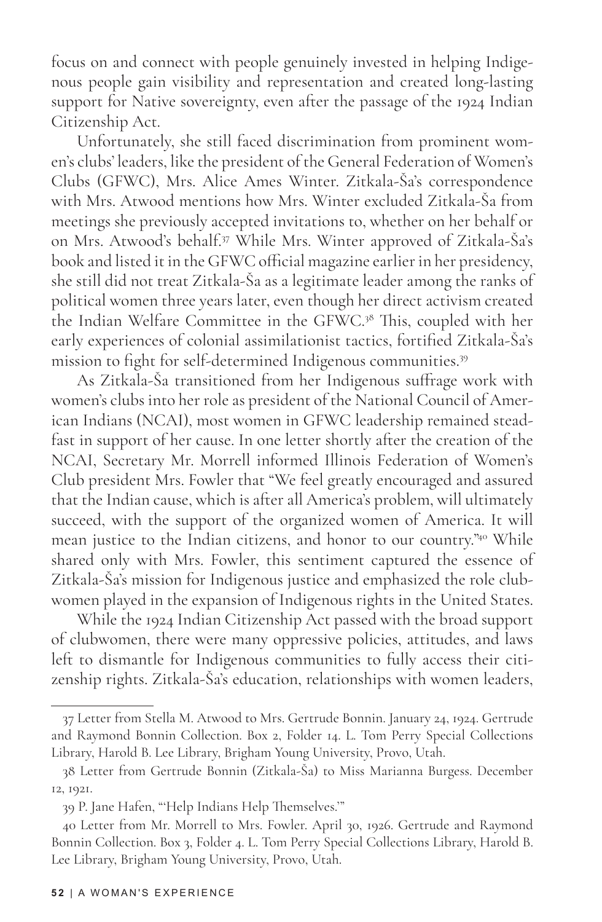focus on and connect with people genuinely invested in helping Indigenous people gain visibility and representation and created long-lasting support for Native sovereignty, even after the passage of the 1924 Indian Citizenship Act.

Unfortunately, she still faced discrimination from prominent women's clubs' leaders, like the president of the General Federation of Women's Clubs (GFWC), Mrs. Alice Ames Winter. Zitkala-Ša's correspondence with Mrs. Atwood mentions how Mrs. Winter excluded Zitkala-Ša from meetings she previously accepted invitations to, whether on her behalf or on Mrs. Atwood's behalf.37 While Mrs. Winter approved of Zitkala-Ša's book and listed it in the GFWC official magazine earlier in her presidency, she still did not treat Zitkala-Ša as a legitimate leader among the ranks of political women three years later, even though her direct activism created the Indian Welfare Committee in the GFWC.38 This, coupled with her early experiences of colonial assimilationist tactics, fortified Zitkala-Ša's mission to fight for self-determined Indigenous communities.<sup>39</sup>

As Zitkala-Ša transitioned from her Indigenous suffrage work with women's clubs into her role as president of the National Council of American Indians (NCAI), most women in GFWC leadership remained steadfast in support of her cause. In one letter shortly after the creation of the NCAI, Secretary Mr. Morrell informed Illinois Federation of Women's Club president Mrs. Fowler that "We feel greatly encouraged and assured that the Indian cause, which is after all America's problem, will ultimately succeed, with the support of the organized women of America. It will mean justice to the Indian citizens, and honor to our country."40 While shared only with Mrs. Fowler, this sentiment captured the essence of Zitkala-Ša's mission for Indigenous justice and emphasized the role clubwomen played in the expansion of Indigenous rights in the United States.

While the 1924 Indian Citizenship Act passed with the broad support of clubwomen, there were many oppressive policies, attitudes, and laws left to dismantle for Indigenous communities to fully access their citizenship rights. Zitkala-Ša's education, relationships with women leaders,

<sup>37</sup> Letter from Stella M. Atwood to Mrs. Gertrude Bonnin. January 24, 1924. Gertrude and Raymond Bonnin Collection. Box 2, Folder 14. L. Tom Perry Special Collections Library, Harold B. Lee Library, Brigham Young University, Provo, Utah.

<sup>38</sup> Letter from Gertrude Bonnin (Zitkala-Ša) to Miss Marianna Burgess. December 12, 1921.

<sup>39</sup> P. Jane Hafen, "'Help Indians Help Themselves.'"

<sup>40</sup> Letter from Mr. Morrell to Mrs. Fowler. April 30, 1926. Gertrude and Raymond Bonnin Collection. Box 3, Folder 4. L. Tom Perry Special Collections Library, Harold B. Lee Library, Brigham Young University, Provo, Utah.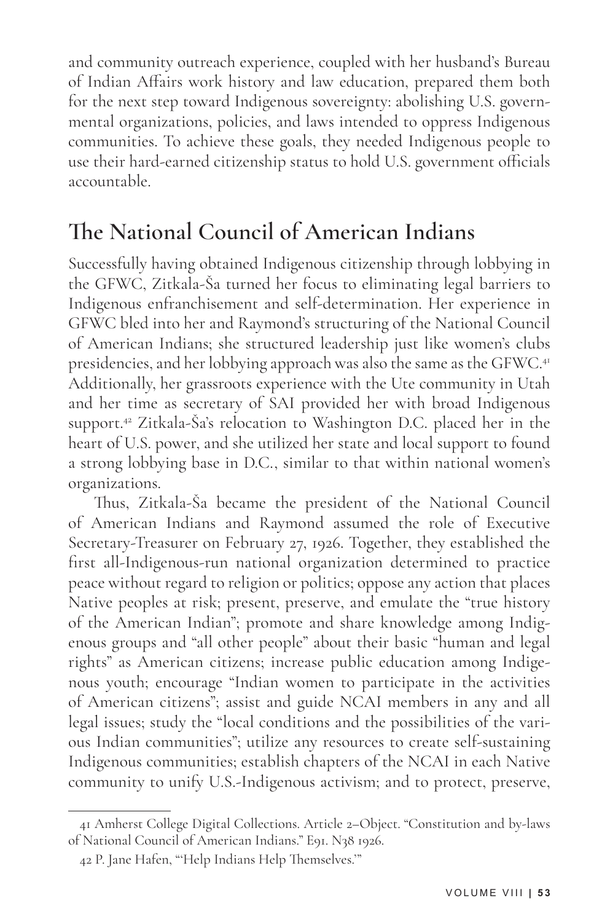and community outreach experience, coupled with her husband's Bureau of Indian Affairs work history and law education, prepared them both for the next step toward Indigenous sovereignty: abolishing U.S. governmental organizations, policies, and laws intended to oppress Indigenous communities. To achieve these goals, they needed Indigenous people to use their hard-earned citizenship status to hold U.S. government officials accountable.

#### **The National Council of American Indians**

Successfully having obtained Indigenous citizenship through lobbying in the GFWC, Zitkala-Ša turned her focus to eliminating legal barriers to Indigenous enfranchisement and self-determination. Her experience in GFWC bled into her and Raymond's structuring of the National Council of American Indians; she structured leadership just like women's clubs presidencies, and her lobbying approach was also the same as the GFWC.<sup>41</sup> Additionally, her grassroots experience with the Ute community in Utah and her time as secretary of SAI provided her with broad Indigenous support.42 Zitkala-Ša's relocation to Washington D.C. placed her in the heart of U.S. power, and she utilized her state and local support to found a strong lobbying base in D.C., similar to that within national women's organizations.

Thus, Zitkala-Ša became the president of the National Council of American Indians and Raymond assumed the role of Executive Secretary-Treasurer on February 27, 1926. Together, they established the first all-Indigenous-run national organization determined to practice peace without regard to religion or politics; oppose any action that places Native peoples at risk; present, preserve, and emulate the "true history of the American Indian"; promote and share knowledge among Indigenous groups and "all other people" about their basic "human and legal rights" as American citizens; increase public education among Indigenous youth; encourage "Indian women to participate in the activities of American citizens"; assist and guide NCAI members in any and all legal issues; study the "local conditions and the possibilities of the various Indian communities"; utilize any resources to create self-sustaining Indigenous communities; establish chapters of the NCAI in each Native community to unify U.S.-Indigenous activism; and to protect, preserve,

<sup>41</sup> Amherst College Digital Collections. Article 2–Object. "Constitution and by-laws of National Council of American Indians." E91. N38 1926.

<sup>42</sup> P. Jane Hafen, "'Help Indians Help Themselves.'"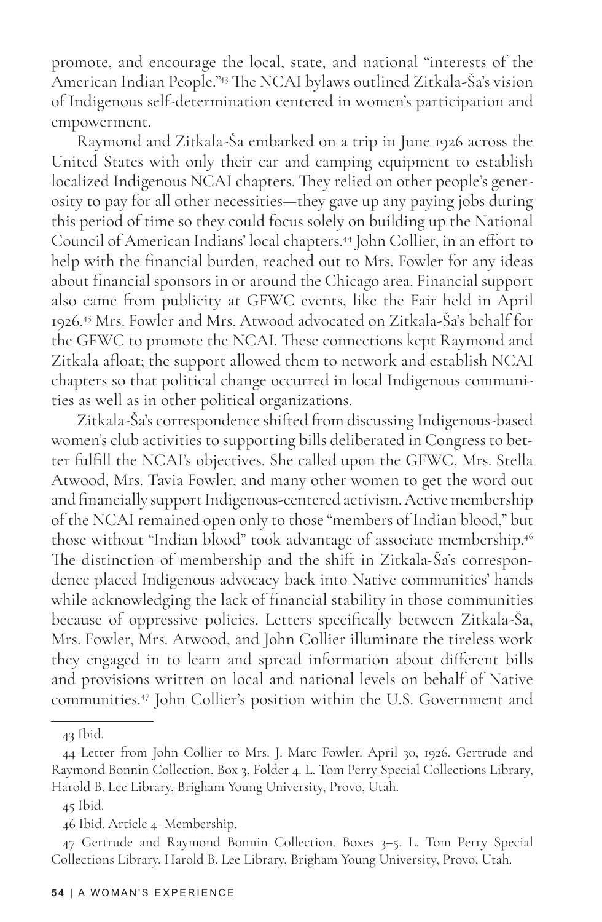promote, and encourage the local, state, and national "interests of the American Indian People."43 The NCAI bylaws outlined Zitkala-Ša's vision of Indigenous self-determination centered in women's participation and empowerment.

Raymond and Zitkala-Ša embarked on a trip in June 1926 across the United States with only their car and camping equipment to establish localized Indigenous NCAI chapters. They relied on other people's generosity to pay for all other necessities—they gave up any paying jobs during this period of time so they could focus solely on building up the National Council of American Indians' local chapters.44 John Collier, in an effort to help with the financial burden, reached out to Mrs. Fowler for any ideas about financial sponsors in or around the Chicago area. Financial support also came from publicity at GFWC events, like the Fair held in April 1926.45 Mrs. Fowler and Mrs. Atwood advocated on Zitkala-Ša's behalf for the GFWC to promote the NCAI. These connections kept Raymond and Zitkala afloat; the support allowed them to network and establish NCAI chapters so that political change occurred in local Indigenous communities as well as in other political organizations.

Zitkala-Ša's correspondence shifted from discussing Indigenous-based women's club activities to supporting bills deliberated in Congress to better fulfill the NCAI's objectives. She called upon the GFWC, Mrs. Stella Atwood, Mrs. Tavia Fowler, and many other women to get the word out and financially support Indigenous-centered activism. Active membership of the NCAI remained open only to those "members of Indian blood," but those without "Indian blood" took advantage of associate membership.46 The distinction of membership and the shift in Zitkala-Ša's correspondence placed Indigenous advocacy back into Native communities' hands while acknowledging the lack of financial stability in those communities because of oppressive policies. Letters specifically between Zitkala-Ša, Mrs. Fowler, Mrs. Atwood, and John Collier illuminate the tireless work they engaged in to learn and spread information about different bills and provisions written on local and national levels on behalf of Native communities.47 John Collier's position within the U.S. Government and

<sup>43</sup> Ibid.

<sup>44</sup> Letter from John Collier to Mrs. J. Marc Fowler. April 30, 1926. Gertrude and Raymond Bonnin Collection. Box 3, Folder 4. L. Tom Perry Special Collections Library, Harold B. Lee Library, Brigham Young University, Provo, Utah.

<sup>45</sup> Ibid.

<sup>46</sup> Ibid. Article 4–Membership.

<sup>47</sup> Gertrude and Raymond Bonnin Collection. Boxes 3–5. L. Tom Perry Special Collections Library, Harold B. Lee Library, Brigham Young University, Provo, Utah.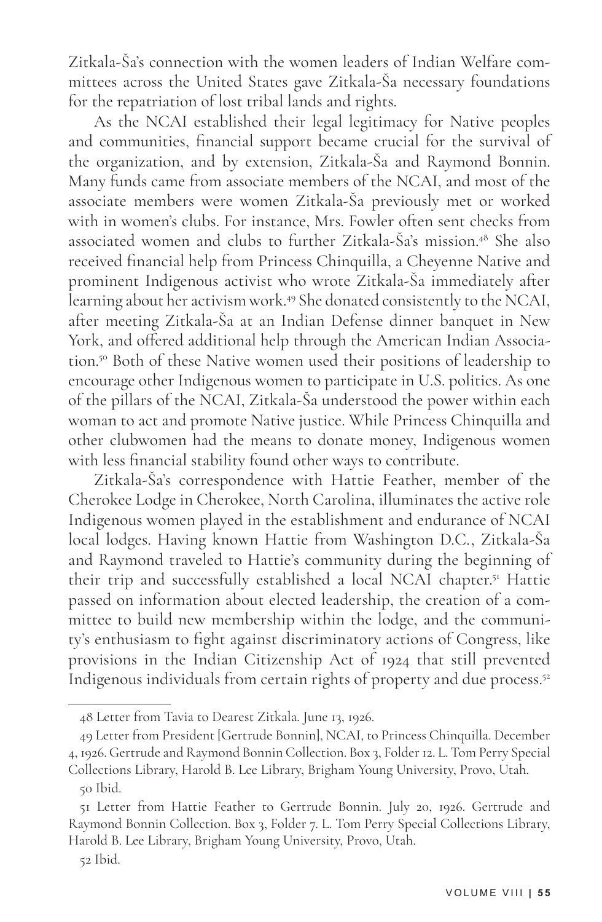Zitkala-Ša's connection with the women leaders of Indian Welfare committees across the United States gave Zitkala-Ša necessary foundations for the repatriation of lost tribal lands and rights.

As the NCAI established their legal legitimacy for Native peoples and communities, financial support became crucial for the survival of the organization, and by extension, Zitkala-Ša and Raymond Bonnin. Many funds came from associate members of the NCAI, and most of the associate members were women Zitkala-Ša previously met or worked with in women's clubs. For instance, Mrs. Fowler often sent checks from associated women and clubs to further Zitkala-Ša's mission.48 She also received financial help from Princess Chinquilla, a Cheyenne Native and prominent Indigenous activist who wrote Zitkala-Ša immediately after learning about her activism work.49 She donated consistently to the NCAI, after meeting Zitkala-Ša at an Indian Defense dinner banquet in New York, and offered additional help through the American Indian Association.50 Both of these Native women used their positions of leadership to encourage other Indigenous women to participate in U.S. politics. As one of the pillars of the NCAI, Zitkala-Ša understood the power within each woman to act and promote Native justice. While Princess Chinquilla and other clubwomen had the means to donate money, Indigenous women with less financial stability found other ways to contribute.

Zitkala-Ša's correspondence with Hattie Feather, member of the Cherokee Lodge in Cherokee, North Carolina, illuminates the active role Indigenous women played in the establishment and endurance of NCAI local lodges. Having known Hattie from Washington D.C., Zitkala-Ša and Raymond traveled to Hattie's community during the beginning of their trip and successfully established a local NCAI chapter.<sup>51</sup> Hattie passed on information about elected leadership, the creation of a committee to build new membership within the lodge, and the community's enthusiasm to fight against discriminatory actions of Congress, like provisions in the Indian Citizenship Act of 1924 that still prevented Indigenous individuals from certain rights of property and due process.<sup>52</sup>

<sup>48</sup> Letter from Tavia to Dearest Zitkala. June 13, 1926.

<sup>49</sup> Letter from President [Gertrude Bonnin], NCAI, to Princess Chinquilla. December 4, 1926. Gertrude and Raymond Bonnin Collection. Box 3, Folder 12. L. Tom Perry Special Collections Library, Harold B. Lee Library, Brigham Young University, Provo, Utah.

<sup>50</sup> Ibid.

<sup>51</sup> Letter from Hattie Feather to Gertrude Bonnin. July 20, 1926. Gertrude and Raymond Bonnin Collection. Box 3, Folder 7. L. Tom Perry Special Collections Library, Harold B. Lee Library, Brigham Young University, Provo, Utah.

<sup>52</sup> Ibid.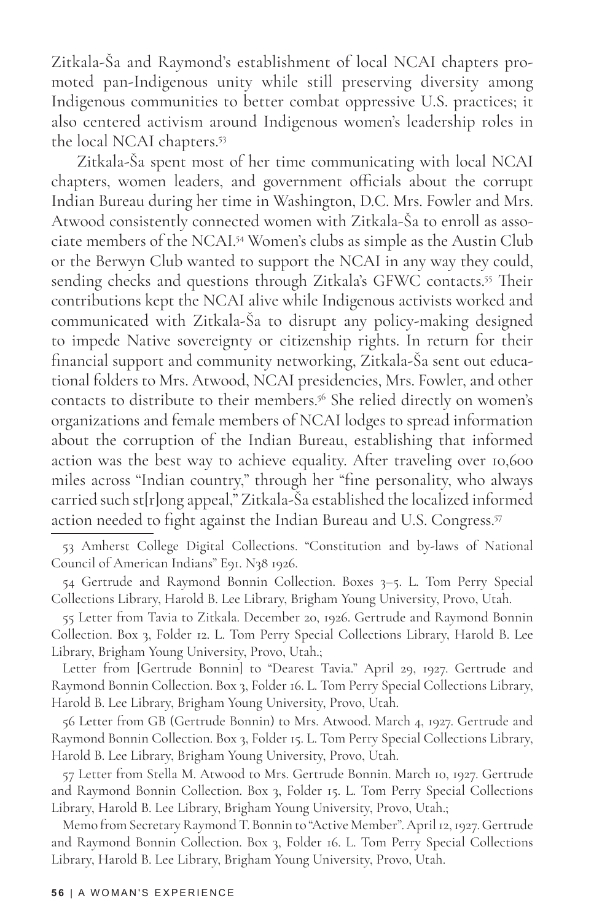Zitkala-Ša and Raymond's establishment of local NCAI chapters promoted pan-Indigenous unity while still preserving diversity among Indigenous communities to better combat oppressive U.S. practices; it also centered activism around Indigenous women's leadership roles in the local NCAI chapters.53

Zitkala-Ša spent most of her time communicating with local NCAI chapters, women leaders, and government officials about the corrupt Indian Bureau during her time in Washington, D.C. Mrs. Fowler and Mrs. Atwood consistently connected women with Zitkala-Ša to enroll as associate members of the NCAI.54 Women's clubs as simple as the Austin Club or the Berwyn Club wanted to support the NCAI in any way they could, sending checks and questions through Zitkala's GFWC contacts.<sup>55</sup> Their contributions kept the NCAI alive while Indigenous activists worked and communicated with Zitkala-Ša to disrupt any policy-making designed to impede Native sovereignty or citizenship rights. In return for their financial support and community networking, Zitkala-Ša sent out educational folders to Mrs. Atwood, NCAI presidencies, Mrs. Fowler, and other contacts to distribute to their members.56 She relied directly on women's organizations and female members of NCAI lodges to spread information about the corruption of the Indian Bureau, establishing that informed action was the best way to achieve equality. After traveling over 10,600 miles across "Indian country," through her "fine personality, who always carried such st[r]ong appeal," Zitkala-Ša established the localized informed action needed to fight against the Indian Bureau and U.S. Congress.<sup>57</sup>

55 Letter from Tavia to Zitkala. December 20, 1926. Gertrude and Raymond Bonnin Collection. Box 3, Folder 12. L. Tom Perry Special Collections Library, Harold B. Lee Library, Brigham Young University, Provo, Utah.;

Letter from [Gertrude Bonnin] to "Dearest Tavia." April 29, 1927. Gertrude and Raymond Bonnin Collection. Box 3, Folder 16. L. Tom Perry Special Collections Library, Harold B. Lee Library, Brigham Young University, Provo, Utah.

56 Letter from GB (Gertrude Bonnin) to Mrs. Atwood. March 4, 1927. Gertrude and Raymond Bonnin Collection. Box 3, Folder 15. L. Tom Perry Special Collections Library, Harold B. Lee Library, Brigham Young University, Provo, Utah.

57 Letter from Stella M. Atwood to Mrs. Gertrude Bonnin. March 10, 1927. Gertrude and Raymond Bonnin Collection. Box 3, Folder 15. L. Tom Perry Special Collections Library, Harold B. Lee Library, Brigham Young University, Provo, Utah.;

Memo from Secretary Raymond T. Bonnin to "Active Member". April 12, 1927. Gertrude and Raymond Bonnin Collection. Box 3, Folder 16. L. Tom Perry Special Collections Library, Harold B. Lee Library, Brigham Young University, Provo, Utah.

<sup>53</sup> Amherst College Digital Collections. "Constitution and by-laws of National Council of American Indians" E91. N38 1926.

<sup>54</sup> Gertrude and Raymond Bonnin Collection. Boxes 3–5. L. Tom Perry Special Collections Library, Harold B. Lee Library, Brigham Young University, Provo, Utah.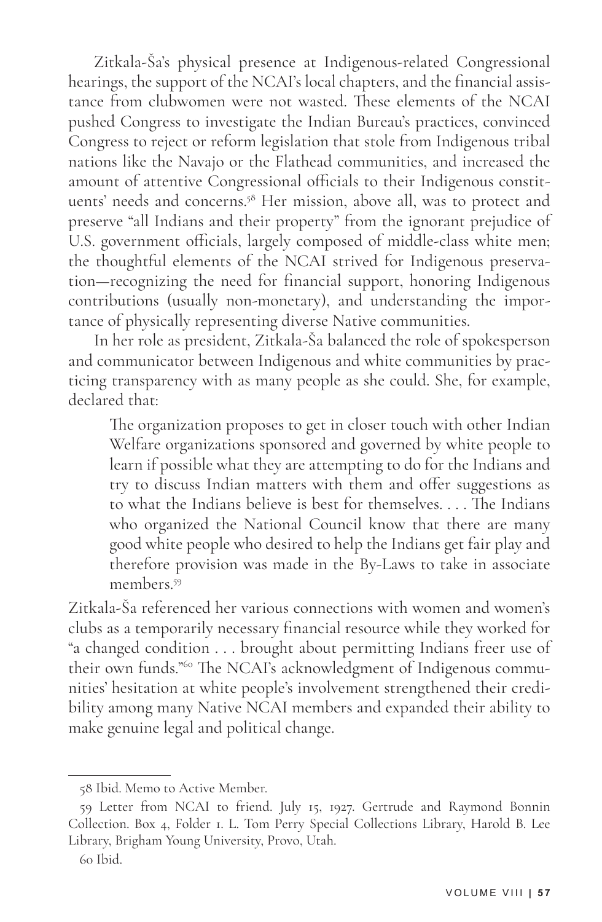Zitkala-Ša's physical presence at Indigenous-related Congressional hearings, the support of the NCAI's local chapters, and the financial assistance from clubwomen were not wasted. These elements of the NCAI pushed Congress to investigate the Indian Bureau's practices, convinced Congress to reject or reform legislation that stole from Indigenous tribal nations like the Navajo or the Flathead communities, and increased the amount of attentive Congressional officials to their Indigenous constituents' needs and concerns.58 Her mission, above all, was to protect and preserve "all Indians and their property" from the ignorant prejudice of U.S. government officials, largely composed of middle-class white men; the thoughtful elements of the NCAI strived for Indigenous preservation—recognizing the need for financial support, honoring Indigenous contributions (usually non-monetary), and understanding the importance of physically representing diverse Native communities.

In her role as president, Zitkala-Ša balanced the role of spokesperson and communicator between Indigenous and white communities by practicing transparency with as many people as she could. She, for example, declared that:

The organization proposes to get in closer touch with other Indian Welfare organizations sponsored and governed by white people to learn if possible what they are attempting to do for the Indians and try to discuss Indian matters with them and offer suggestions as to what the Indians believe is best for themselves. . . . The Indians who organized the National Council know that there are many good white people who desired to help the Indians get fair play and therefore provision was made in the By-Laws to take in associate members<sup>59</sup>

Zitkala-Ša referenced her various connections with women and women's clubs as a temporarily necessary financial resource while they worked for "a changed condition . . . brought about permitting Indians freer use of their own funds."60 The NCAI's acknowledgment of Indigenous communities' hesitation at white people's involvement strengthened their credibility among many Native NCAI members and expanded their ability to make genuine legal and political change.

<sup>58</sup> Ibid. Memo to Active Member.

<sup>59</sup> Letter from NCAI to friend. July 15, 1927. Gertrude and Raymond Bonnin Collection. Box 4, Folder 1. L. Tom Perry Special Collections Library, Harold B. Lee Library, Brigham Young University, Provo, Utah.

<sup>60</sup> Ibid.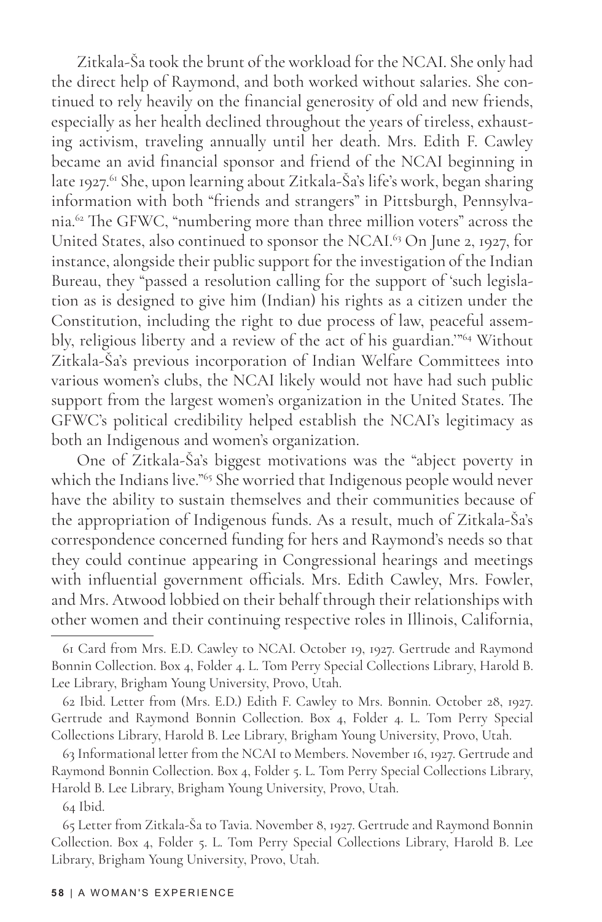Zitkala-Ša took the brunt of the workload for the NCAI. She only had the direct help of Raymond, and both worked without salaries. She continued to rely heavily on the financial generosity of old and new friends, especially as her health declined throughout the years of tireless, exhausting activism, traveling annually until her death. Mrs. Edith F. Cawley became an avid financial sponsor and friend of the NCAI beginning in late 1927.<sup>61</sup> She, upon learning about Zitkala-Ša's life's work, began sharing information with both "friends and strangers" in Pittsburgh, Pennsylvania.62 The GFWC, "numbering more than three million voters" across the United States, also continued to sponsor the NCAI.<sup>63</sup> On June 2, 1927, for instance, alongside their public support for the investigation of the Indian Bureau, they "passed a resolution calling for the support of 'such legislation as is designed to give him (Indian) his rights as a citizen under the Constitution, including the right to due process of law, peaceful assembly, religious liberty and a review of the act of his guardian.'"64 Without Zitkala-Ša's previous incorporation of Indian Welfare Committees into various women's clubs, the NCAI likely would not have had such public support from the largest women's organization in the United States. The GFWC's political credibility helped establish the NCAI's legitimacy as both an Indigenous and women's organization.

One of Zitkala-Ša's biggest motivations was the "abject poverty in which the Indians live."<sup>65</sup> She worried that Indigenous people would never have the ability to sustain themselves and their communities because of the appropriation of Indigenous funds. As a result, much of Zitkala-Ša's correspondence concerned funding for hers and Raymond's needs so that they could continue appearing in Congressional hearings and meetings with influential government officials. Mrs. Edith Cawley, Mrs. Fowler, and Mrs. Atwood lobbied on their behalf through their relationships with other women and their continuing respective roles in Illinois, California,

<sup>61</sup> Card from Mrs. E.D. Cawley to NCAI. October 19, 1927. Gertrude and Raymond Bonnin Collection. Box 4, Folder 4. L. Tom Perry Special Collections Library, Harold B. Lee Library, Brigham Young University, Provo, Utah.

<sup>62</sup> Ibid. Letter from (Mrs. E.D.) Edith F. Cawley to Mrs. Bonnin. October 28, 1927. Gertrude and Raymond Bonnin Collection. Box 4, Folder 4. L. Tom Perry Special Collections Library, Harold B. Lee Library, Brigham Young University, Provo, Utah.

<sup>63</sup> Informational letter from the NCAI to Members. November 16, 1927. Gertrude and Raymond Bonnin Collection. Box 4, Folder 5. L. Tom Perry Special Collections Library, Harold B. Lee Library, Brigham Young University, Provo, Utah.

<sup>64</sup> Ibid.

<sup>65</sup> Letter from Zitkala-Ša to Tavia. November 8, 1927. Gertrude and Raymond Bonnin Collection. Box 4, Folder 5. L. Tom Perry Special Collections Library, Harold B. Lee Library, Brigham Young University, Provo, Utah.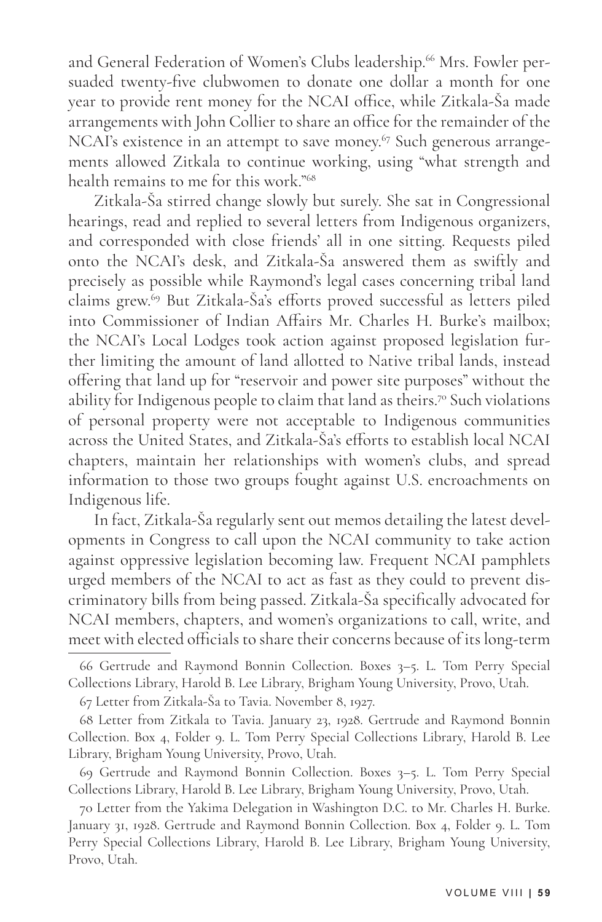and General Federation of Women's Clubs leadership.<sup>66</sup> Mrs. Fowler persuaded twenty-five clubwomen to donate one dollar a month for one year to provide rent money for the NCAI office, while Zitkala-Ša made arrangements with John Collier to share an office for the remainder of the NCAI's existence in an attempt to save money.<sup>67</sup> Such generous arrangements allowed Zitkala to continue working, using "what strength and health remains to me for this work."68

Zitkala-Ša stirred change slowly but surely. She sat in Congressional hearings, read and replied to several letters from Indigenous organizers, and corresponded with close friends' all in one sitting. Requests piled onto the NCAI's desk, and Zitkala-Ša answered them as swiftly and precisely as possible while Raymond's legal cases concerning tribal land claims grew.69 But Zitkala-Ša's efforts proved successful as letters piled into Commissioner of Indian Affairs Mr. Charles H. Burke's mailbox; the NCAI's Local Lodges took action against proposed legislation further limiting the amount of land allotted to Native tribal lands, instead offering that land up for "reservoir and power site purposes" without the ability for Indigenous people to claim that land as theirs.<sup>70</sup> Such violations of personal property were not acceptable to Indigenous communities across the United States, and Zitkala-Ša's efforts to establish local NCAI chapters, maintain her relationships with women's clubs, and spread information to those two groups fought against U.S. encroachments on Indigenous life.

In fact, Zitkala-Ša regularly sent out memos detailing the latest developments in Congress to call upon the NCAI community to take action against oppressive legislation becoming law. Frequent NCAI pamphlets urged members of the NCAI to act as fast as they could to prevent discriminatory bills from being passed. Zitkala-Ša specifically advocated for NCAI members, chapters, and women's organizations to call, write, and meet with elected officials to share their concerns because of its long-term

<sup>66</sup> Gertrude and Raymond Bonnin Collection. Boxes 3–5. L. Tom Perry Special Collections Library, Harold B. Lee Library, Brigham Young University, Provo, Utah.

<sup>67</sup> Letter from Zitkala-Ša to Tavia. November 8, 1927.

<sup>68</sup> Letter from Zitkala to Tavia. January 23, 1928. Gertrude and Raymond Bonnin Collection. Box 4, Folder 9. L. Tom Perry Special Collections Library, Harold B. Lee Library, Brigham Young University, Provo, Utah.

<sup>69</sup> Gertrude and Raymond Bonnin Collection. Boxes 3–5. L. Tom Perry Special Collections Library, Harold B. Lee Library, Brigham Young University, Provo, Utah.

<sup>70</sup> Letter from the Yakima Delegation in Washington D.C. to Mr. Charles H. Burke. January 31, 1928. Gertrude and Raymond Bonnin Collection. Box 4, Folder 9. L. Tom Perry Special Collections Library, Harold B. Lee Library, Brigham Young University, Provo, Utah.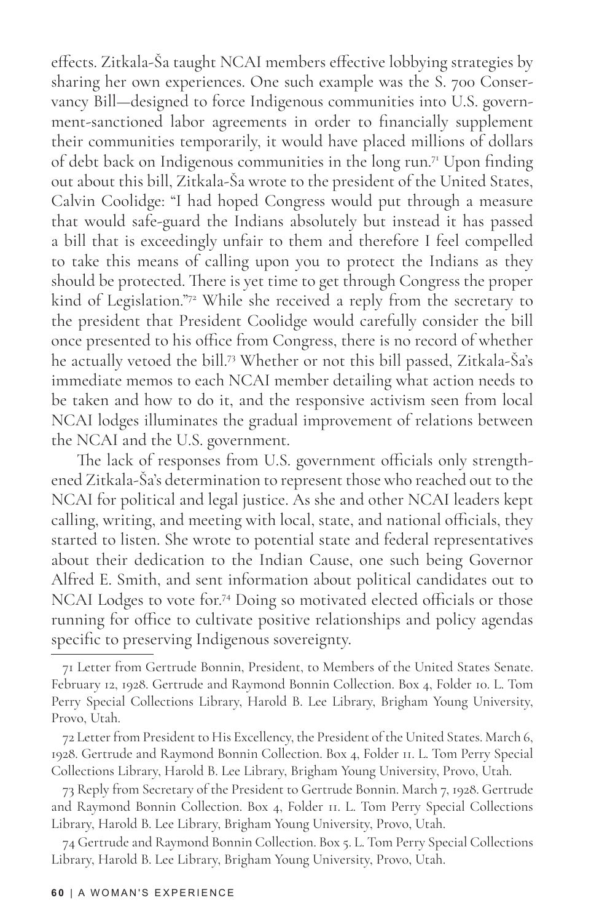effects. Zitkala-Ša taught NCAI members effective lobbying strategies by sharing her own experiences. One such example was the S. 700 Conservancy Bill—designed to force Indigenous communities into U.S. government-sanctioned labor agreements in order to financially supplement their communities temporarily, it would have placed millions of dollars of debt back on Indigenous communities in the long run.71 Upon finding out about this bill, Zitkala-Ša wrote to the president of the United States, Calvin Coolidge: "I had hoped Congress would put through a measure that would safe-guard the Indians absolutely but instead it has passed a bill that is exceedingly unfair to them and therefore I feel compelled to take this means of calling upon you to protect the Indians as they should be protected. There is yet time to get through Congress the proper kind of Legislation."72 While she received a reply from the secretary to the president that President Coolidge would carefully consider the bill once presented to his office from Congress, there is no record of whether he actually vetoed the bill.73 Whether or not this bill passed, Zitkala-Ša's immediate memos to each NCAI member detailing what action needs to be taken and how to do it, and the responsive activism seen from local NCAI lodges illuminates the gradual improvement of relations between the NCAI and the U.S. government.

The lack of responses from U.S. government officials only strengthened Zitkala-Ša's determination to represent those who reached out to the NCAI for political and legal justice. As she and other NCAI leaders kept calling, writing, and meeting with local, state, and national officials, they started to listen. She wrote to potential state and federal representatives about their dedication to the Indian Cause, one such being Governor Alfred E. Smith, and sent information about political candidates out to NCAI Lodges to vote for.74 Doing so motivated elected officials or those running for office to cultivate positive relationships and policy agendas specific to preserving Indigenous sovereignty.

72 Letter from President to His Excellency, the President of the United States. March 6, 1928. Gertrude and Raymond Bonnin Collection. Box 4, Folder 11. L. Tom Perry Special Collections Library, Harold B. Lee Library, Brigham Young University, Provo, Utah.

73 Reply from Secretary of the President to Gertrude Bonnin. March 7, 1928. Gertrude and Raymond Bonnin Collection. Box 4, Folder 11. L. Tom Perry Special Collections Library, Harold B. Lee Library, Brigham Young University, Provo, Utah.

74 Gertrude and Raymond Bonnin Collection. Box 5. L. Tom Perry Special Collections Library, Harold B. Lee Library, Brigham Young University, Provo, Utah.

<sup>71</sup> Letter from Gertrude Bonnin, President, to Members of the United States Senate. February 12, 1928. Gertrude and Raymond Bonnin Collection. Box 4, Folder 10. L. Tom Perry Special Collections Library, Harold B. Lee Library, Brigham Young University, Provo, Utah.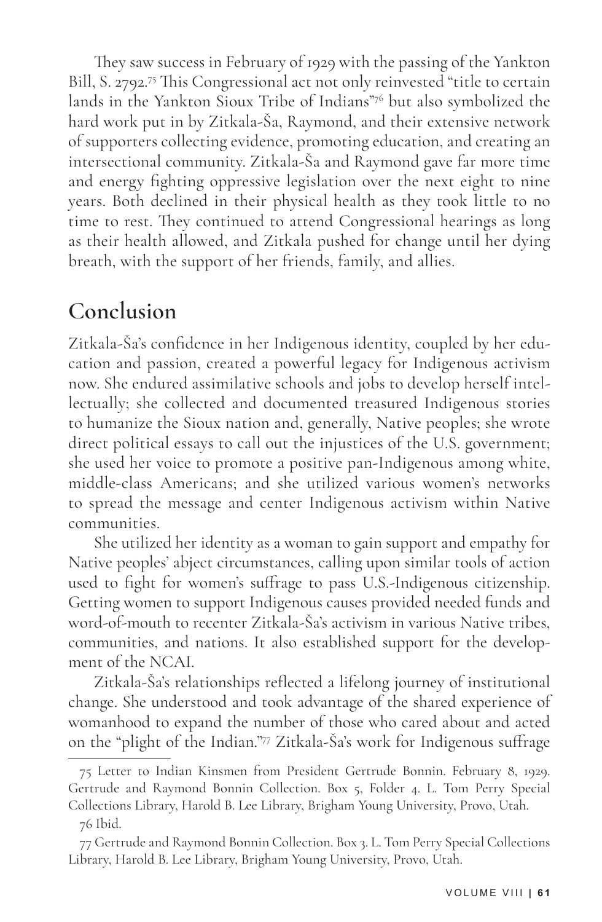They saw success in February of 1929 with the passing of the Yankton Bill, S. 2792.75 This Congressional act not only reinvested "title to certain lands in the Yankton Sioux Tribe of Indians"76 but also symbolized the hard work put in by Zitkala-Ša, Raymond, and their extensive network of supporters collecting evidence, promoting education, and creating an intersectional community. Zitkala-Ša and Raymond gave far more time and energy fighting oppressive legislation over the next eight to nine years. Both declined in their physical health as they took little to no time to rest. They continued to attend Congressional hearings as long as their health allowed, and Zitkala pushed for change until her dying breath, with the support of her friends, family, and allies.

### **Conclusion**

Zitkala-Ša's confidence in her Indigenous identity, coupled by her education and passion, created a powerful legacy for Indigenous activism now. She endured assimilative schools and jobs to develop herself intellectually; she collected and documented treasured Indigenous stories to humanize the Sioux nation and, generally, Native peoples; she wrote direct political essays to call out the injustices of the U.S. government; she used her voice to promote a positive pan-Indigenous among white, middle-class Americans; and she utilized various women's networks to spread the message and center Indigenous activism within Native communities.

She utilized her identity as a woman to gain support and empathy for Native peoples' abject circumstances, calling upon similar tools of action used to fight for women's suffrage to pass U.S.-Indigenous citizenship. Getting women to support Indigenous causes provided needed funds and word-of-mouth to recenter Zitkala-Ša's activism in various Native tribes, communities, and nations. It also established support for the development of the NCAI.

Zitkala-Ša's relationships reflected a lifelong journey of institutional change. She understood and took advantage of the shared experience of womanhood to expand the number of those who cared about and acted on the "plight of the Indian."77 Zitkala-Ša's work for Indigenous suffrage

<sup>75</sup> Letter to Indian Kinsmen from President Gertrude Bonnin. February 8, 1929. Gertrude and Raymond Bonnin Collection. Box 5, Folder 4. L. Tom Perry Special Collections Library, Harold B. Lee Library, Brigham Young University, Provo, Utah. 76 Ibid.

<sup>77</sup> Gertrude and Raymond Bonnin Collection. Box 3. L. Tom Perry Special Collections Library, Harold B. Lee Library, Brigham Young University, Provo, Utah.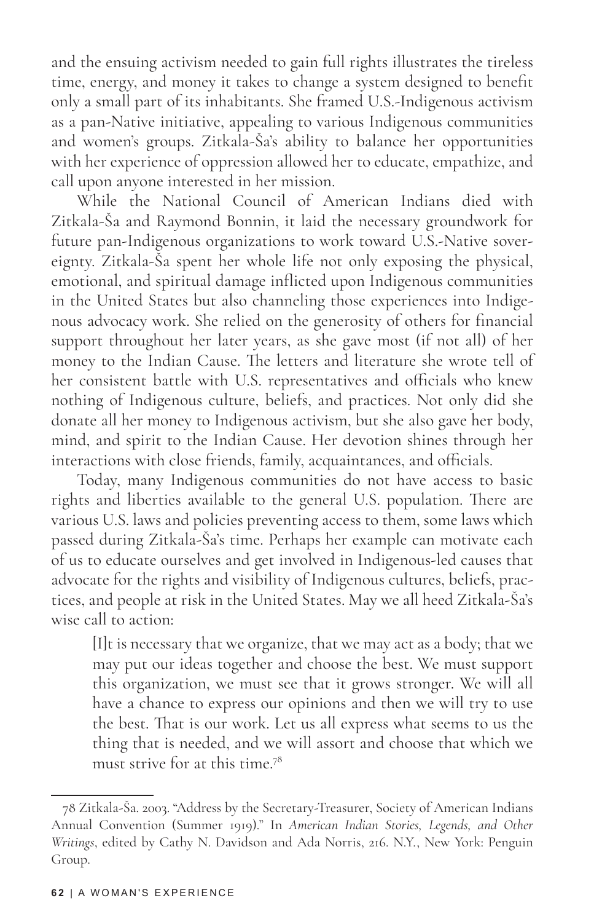and the ensuing activism needed to gain full rights illustrates the tireless time, energy, and money it takes to change a system designed to benefit only a small part of its inhabitants. She framed U.S.-Indigenous activism as a pan-Native initiative, appealing to various Indigenous communities and women's groups. Zitkala-Ša's ability to balance her opportunities with her experience of oppression allowed her to educate, empathize, and call upon anyone interested in her mission.

While the National Council of American Indians died with Zitkala-Ša and Raymond Bonnin, it laid the necessary groundwork for future pan-Indigenous organizations to work toward U.S.-Native sovereignty. Zitkala-Ša spent her whole life not only exposing the physical, emotional, and spiritual damage inflicted upon Indigenous communities in the United States but also channeling those experiences into Indigenous advocacy work. She relied on the generosity of others for financial support throughout her later years, as she gave most (if not all) of her money to the Indian Cause. The letters and literature she wrote tell of her consistent battle with U.S. representatives and officials who knew nothing of Indigenous culture, beliefs, and practices. Not only did she donate all her money to Indigenous activism, but she also gave her body, mind, and spirit to the Indian Cause. Her devotion shines through her interactions with close friends, family, acquaintances, and officials.

Today, many Indigenous communities do not have access to basic rights and liberties available to the general U.S. population. There are various U.S. laws and policies preventing access to them, some laws which passed during Zitkala-Ša's time. Perhaps her example can motivate each of us to educate ourselves and get involved in Indigenous-led causes that advocate for the rights and visibility of Indigenous cultures, beliefs, practices, and people at risk in the United States. May we all heed Zitkala-Ša's wise call to action:

[I]t is necessary that we organize, that we may act as a body; that we may put our ideas together and choose the best. We must support this organization, we must see that it grows stronger. We will all have a chance to express our opinions and then we will try to use the best. That is our work. Let us all express what seems to us the thing that is needed, and we will assort and choose that which we must strive for at this time.78

<sup>78</sup> Zitkala-Ša. 2003. "Address by the Secretary-Treasurer, Society of American Indians Annual Convention (Summer 1919)." In *American Indian Stories, Legends, and Other Writings*, edited by Cathy N. Davidson and Ada Norris, 216. N.Y., New York: Penguin Group.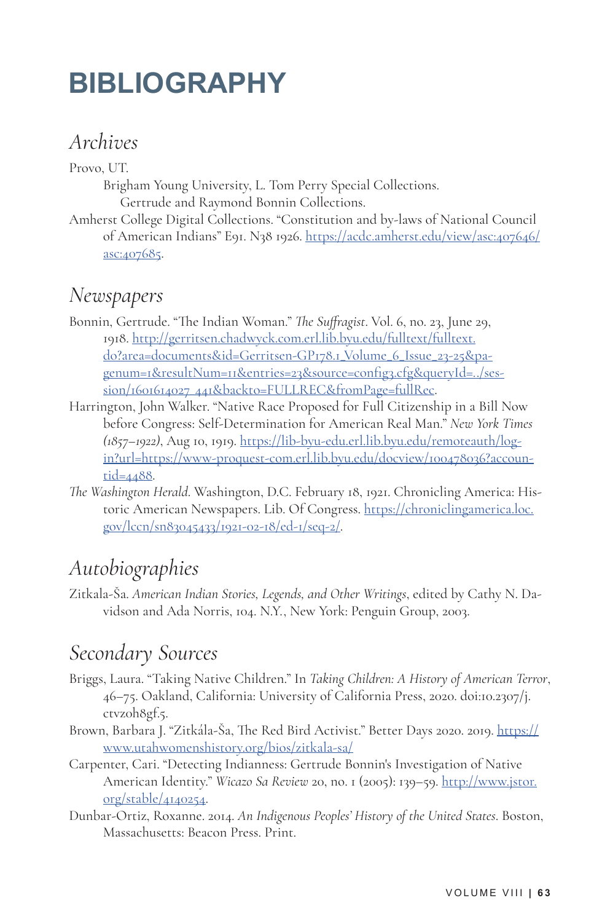# **BIBLIOGRAPHY**

#### *Archives*

Provo, UT.

Brigham Young University, L. Tom Perry Special Collections. Gertrude and Raymond Bonnin Collections.

Amherst College Digital Collections. "Constitution and by-laws of National Council of American Indians" E91. N38 1926. https://acdc.amherst.edu/view/asc:407646/ asc:407685.

#### *Newspapers*

- Bonnin, Gertrude. "The Indian Woman." *The Suffragist*. Vol. 6, no. 23, June 29, 1918. http://gerritsen.chadwyck.com.erl.lib.byu.edu/fulltext/fulltext. do?area=documents&id=Gerritsen-GP178.1\_Volume\_6\_Issue\_23-25&pagenum=1&resultNum=11&entries=23&source=config3.cfg&queryId=../session/1601614027\_441&backto=FULLREC&fromPage=fullRec.
- Harrington, John Walker. "Native Race Proposed for Full Citizenship in a Bill Now before Congress: Self-Determination for American Real Man." *New York Times (1857–1922)*, Aug 10, 1919. https://lib-byu-edu.erl.lib.byu.edu/remoteauth/login?url=https://www-proquest-com.erl.lib.byu.edu/docview/100478036?accountid=4488.
- *The Washington Herald*. Washington, D.C. February 18, 1921. Chronicling America: Historic American Newspapers. Lib. Of Congress. https://chroniclingamerica.loc. gov/lccn/sn83045433/1921-02-18/ed-1/seq-2/.

### *Autobiographies*

Zitkala-Ša. *American Indian Stories, Legends, and Other Writings*, edited by Cathy N. Davidson and Ada Norris, 104. N.Y., New York: Penguin Group, 2003.

## *Secondary Sources*

- Briggs, Laura. "Taking Native Children." In *Taking Children: A History of American Terror*, 46–75. Oakland, California: University of California Press, 2020. doi:10.2307/j. ctvz0h8gf.5.
- Brown, Barbara J. "Zitkála-Ša, The Red Bird Activist." Better Days 2020. 2019. https:// www.utahwomenshistory.org/bios/zitkala-sa/
- Carpenter, Cari. "Detecting Indianness: Gertrude Bonnin's Investigation of Native American Identity." *Wicazo Sa Review* 20, no. 1 (2005): 139–59. http://www.jstor. org/stable/4140254.
- Dunbar-Ortiz, Roxanne. 2014. *An Indigenous Peoples' History of the United States*. Boston, Massachusetts: Beacon Press. Print.